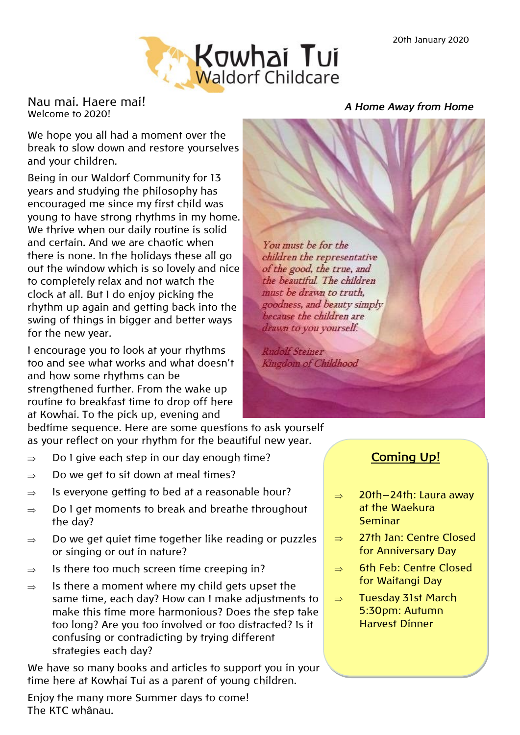

Nau mai. Haere mai!<br>Welcome to 2020!

We hope you all had a moment over the break to slow down and restore yourselves and your children.

Being in our Waldorf Community for 13 years and studying the philosophy has encouraged me since my first child was young to have strong rhythms in my home. We thrive when our daily routine is solid and certain. And we are chaotic when there is none. In the holidays these all go out the window which is so lovely and nice to completely relax and not watch the clock at all. But I do enjoy picking the rhythm up again and getting back into the swing of things in bigger and better ways for the new year.

I encourage you to look at your rhythms too and see what works and what doesn't and how some rhythms can be strengthened further. From the wake up routine to breakfast time to drop off here at Kowhai. To the pick up, evening and

bedtime sequence. Here are some questions to ask yourself as your reflect on your rhythm for the beautiful new year.

- $\Rightarrow$  Do I give each step in our day enough time?
- $\Rightarrow$  Do we get to sit down at meal times?
- $\Rightarrow$  Is everyone getting to bed at a reasonable hour?
- $\Rightarrow$  Do I get moments to break and breathe throughout the day?
- $\Rightarrow$  Do we get quiet time together like reading or puzzles or singing or out in nature?
- $\Rightarrow$  Is there too much screen time creeping in?
- $\Rightarrow$  Is there a moment where my child gets upset the same time, each day? How can I make adjustments to make this time more harmonious? Does the step take too long? Are you too involved or too distracted? Is it confusing or contradicting by trying different strategies each day?

We have so many books and articles to support you in your time here at Kowhai Tui as a parent of young children.

Enjoy the many more Summer days to come! The KTC whânau.

You must be for the children the representative of the good, the true, and the beautiful. The children must be drawn to truth. goodness, and beauty simply because the children are drawn to you yourself.

**Rudolf Steiner** Kingdom of Childhood

## **Coming Up!**

- $\Rightarrow$  20th-24th: Laura away at the Waekura Seminar
- $\Rightarrow$  27th Jan: Centre Closed for Anniversary Day
- $\Rightarrow$  6th Feb: Centre Closed for Waitangi Day
- $\Rightarrow$  Tuesday 31st March 5:30pm: Autumn Harvest Dinner